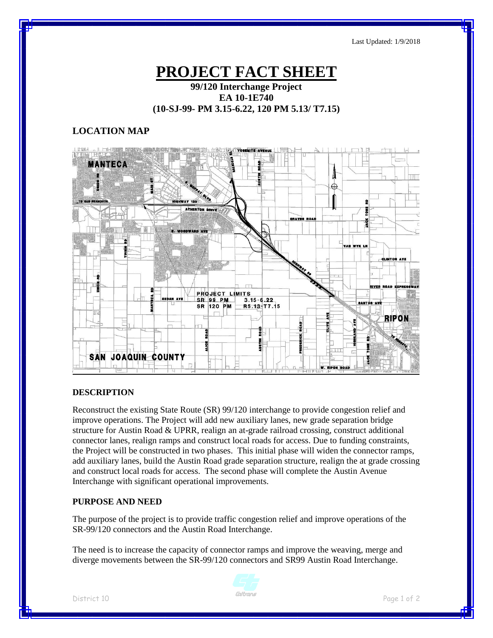Last Updated: 1/9/2018

# **PROJECT FACT SHEET**

## **99/120 Interchange Project EA 10-1E740 (10-SJ-99- PM 3.15-6.22, 120 PM 5.13/ T7.15)**

## **LOCATION MAP**



### **DESCRIPTION**

Reconstruct the existing State Route (SR) 99/120 interchange to provide congestion relief and improve operations. The Project will add new auxiliary lanes, new grade separation bridge structure for Austin Road & UPRR, realign an at-grade railroad crossing, construct additional connector lanes, realign ramps and construct local roads for access. Due to funding constraints, the Project will be constructed in two phases. This initial phase will widen the connector ramps, add auxiliary lanes, build the Austin Road grade separation structure, realign the at grade crossing and construct local roads for access. The second phase will complete the Austin Avenue Interchange with significant operational improvements.

#### **PURPOSE AND NEED**

The purpose of the project is to provide traffic congestion relief and improve operations of the SR-99/120 connectors and the Austin Road Interchange.

The need is to increase the capacity of connector ramps and improve the weaving, merge and diverge movements between the SR-99/120 connectors and SR99 Austin Road Interchange.